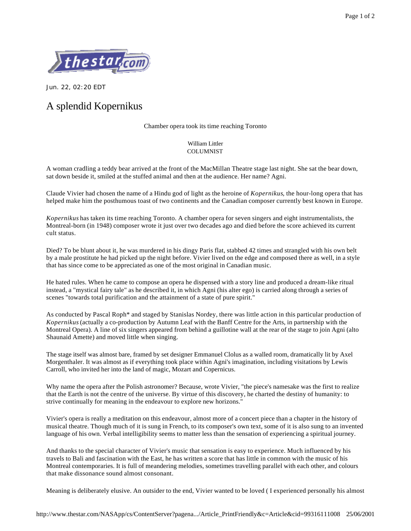

Jun. 22, 02:20 EDT

## A splendid Kopernikus

Chamber opera took its time reaching Toronto

William Littler **COLUMNIST** 

A woman cradling a teddy bear arrived at the front of the MacMillan Theatre stage last night. She sat the bear down, sat down beside it, smiled at the stuffed animal and then at the audience. Her name? Agni.

Claude Vivier had chosen the name of a Hindu god of light as the heroine of *Kopernikus*, the hour-long opera that has helped make him the posthumous toast of two continents and the Canadian composer currently best known in Europe.

*Kopernikus* has taken its time reaching Toronto. A chamber opera for seven singers and eight instrumentalists, the Montreal-born (in 1948) composer wrote it just over two decades ago and died before the score achieved its current cult status.

Died? To be blunt about it, he was murdered in his dingy Paris flat, stabbed 42 times and strangled with his own belt by a male prostitute he had picked up the night before. Vivier lived on the edge and composed there as well, in a style that has since come to be appreciated as one of the most original in Canadian music.

He hated rules. When he came to compose an opera he dispensed with a story line and produced a dream-like ritual instead, a "mystical fairy tale" as he described it, in which Agni (his alter ego) is carried along through a series of scenes "towards total purification and the attainment of a state of pure spirit."

As conducted by Pascal Roph\* and staged by Stanislas Nordey, there was little action in this particular production of *Kopernikus* (actually a co-production by Autumn Leaf with the Banff Centre for the Arts, in partnership with the Montreal Opera). A line of six singers appeared from behind a guillotine wall at the rear of the stage to join Agni (alto Shaunaid Amette) and moved little when singing.

The stage itself was almost bare, framed by set designer Emmanuel Clolus as a walled room, dramatically lit by Axel Morgenthaler. It was almost as if everything took place within Agni's imagination, including visitations by Lewis Carroll, who invited her into the land of magic, Mozart and Copernicus.

Why name the opera after the Polish astronomer? Because, wrote Vivier, "the piece's namesake was the first to realize that the Earth is not the centre of the universe. By virtue of this discovery, he charted the destiny of humanity: to strive continually for meaning in the endeavour to explore new horizons."

Vivier's opera is really a meditation on this endeavour, almost more of a concert piece than a chapter in the history of musical theatre. Though much of it is sung in French, to its composer's own text, some of it is also sung to an invented language of his own. Verbal intelligibility seems to matter less than the sensation of experiencing a spiritual journey.

And thanks to the special character of Vivier's music that sensation is easy to experience. Much influenced by his travels to Bali and fascination with the East, he has written a score that has little in common with the music of his Montreal contemporaries. It is full of meandering melodies, sometimes travelling parallel with each other, and colours that make dissonance sound almost consonant.

Meaning is deliberately elusive. An outsider to the end, Vivier wanted to be loved ( I experienced personally his almost